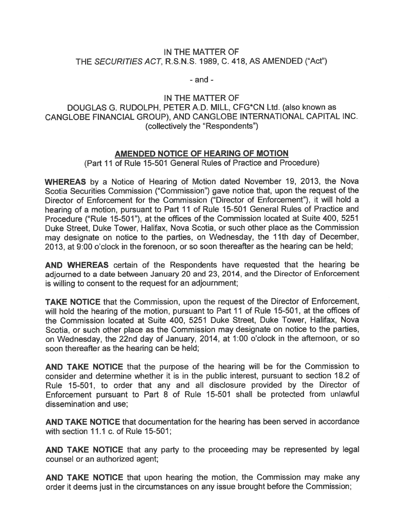## IN THE MATTER OF THE SECURITIES ACT, R.S.N.S. 1989, C. 418, AS AMENDED ("Act")

 $-$  and  $-$ 

IN THE MATTER OF DOUGLAS G. RUDOLPH, PETER A.D. MILL, CFG\*CN Ltd. (also known as CANGLOBE FiNANCIAL GROUP), AND CANGLOBE INTERNATIONAL CAPITAL INC. (collectively the "Respondents")

## AMENDED NOTICE OF HEARING OF MOTION

(Part 11 of Rule 15-501 General Rules of Practice and Procedure)

WHEREAS by <sup>a</sup> Notice of Hearing of Motion dated November 19, 2013, the Nova Scotia Securities Commission ("Commission") gave notice that, upon the reques<sup>t</sup> of the Director of Enforcement for the Commission ("Director of Enforcement"), it will hold <sup>a</sup> hearing of <sup>a</sup> motion, pursuan<sup>t</sup> to Part <sup>11</sup> of Rule 15-501 General Rules of Practice and Procedure ("Rule 15-501"), at the offices of the Commission located at Suite 400, 5251 Duke Street, Duke Tower, Halifax, Nova Scotia, or such other place as the Commission may designate on notice to the parties, on Wednesday, the 11th day of December, 2013, at 9:00 <sup>o</sup>'clock in the forenoon, or so soon thereafter as the hearing can be held;

AND WHEREAS certain of the Respondents have requested that the hearing be adjourned to <sup>a</sup> date between January <sup>20</sup> and 23, 2014, and the Director of Enforcement is willing to consent to the reques<sup>t</sup> for an adjournment;

TAKE NOTICE that the Commission, upon the reques<sup>t</sup> of the Director of Enforcement, will hold the hearing of the motion, pursuan<sup>t</sup> to Part <sup>11</sup> of Rule 15-501, at the offices of the Commission located at Suite 400, 5251 Duke Street, Duke Tower, Halifax, Nova Scotia, or such other place as the Commission may designate on notice to the parties, on Wednesday, the 22nd day of January, 2014, at 1:00 <sup>o</sup>'clock in the afternoon, or so soon thereafter as the hearing can be held;

AND TAKE NOTICE that the purpose of the hearing will be for the Commission to consider and determine whether it is in the public interest, pursuan<sup>t</sup> to section 18.2 of Rule 15-501, to order that any and all disclosure provided by the Director of Enforcement pursuan<sup>t</sup> to Part 8 of Rule 15-501 shall be protected from unlawful dissemination and use;

AND TAKE NOTICE that documentation for the hearing has been served in accordance with section 11.1 c. of Rule 15-501;

AND TAKE NOTICE that any party to the proceeding may be represented by legal counsel or an authorized agent;

AND TAKE NOTICE that upon hearing the motion, the Commission may make any order it deems just in the circumstances on any issue brought before the Commission;